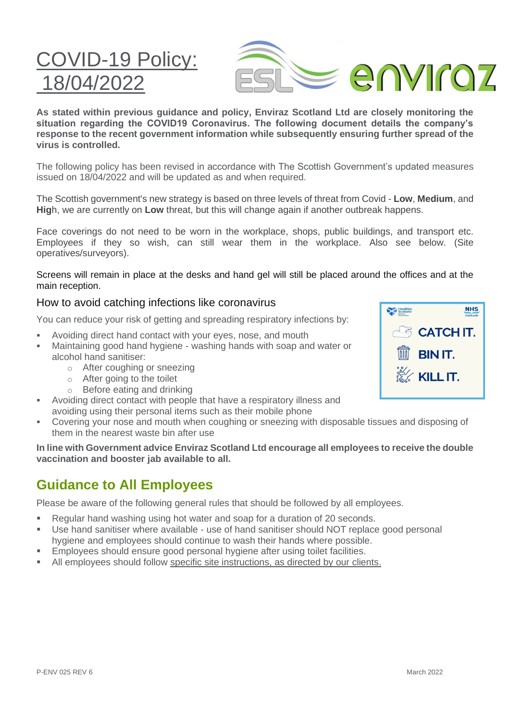**As stated within previous guidance and policy, Enviraz Scotland Ltd are closely monitoring the situation regarding the COVID19 Coronavirus. The following document details the company's response to the recent government information while subsequently ensuring further spread of the virus is controlled.** 

The following policy has been revised in accordance with The Scottish Government's updated measures issued on 18/04/2022 and will be updated as and when required.

The Scottish government's new strategy is based on three levels of threat from Covid - **Low**, **Medium**, and **Hig**h, we are currently on **Low** threat, but this will change again if another outbreak happens.

Face coverings do not need to be worn in the workplace, shops, public buildings, and transport etc. Employees if they so wish, can still wear them in the workplace. Also see below. (Site operatives/surveyors).

Screens will remain in place at the desks and hand gel will still be placed around the offices and at the main reception.

#### How to avoid catching infections like coronavirus

You can reduce your risk of getting and spreading respiratory infections by:

- **EXECT** Avoiding direct hand contact with your eyes, nose, and mouth
- Maintaining good hand hygiene washing hands with soap and water or alcohol hand sanitiser:
	- o After coughing or sneezing
	- o After going to the toilet

COVID-19 Policy:

 $R/04/2$ 

- o Before eating and drinking
- Avoiding direct contact with people that have a respiratory illness and avoiding using their personal items such as their mobile phone
- Covering your nose and mouth when coughing or sneezing with disposable tissues and disposing of them in the nearest waste bin after use

**In line with Government advice Enviraz Scotland Ltd encourage all employees to receive the double vaccination and booster jab available to all.**

### **Guidance to All Employees**

Please be aware of the following general rules that should be followed by all employees.

- Regular hand washing using hot water and soap for a duration of 20 seconds.
- Use hand sanitiser where available use of hand sanitiser should NOT replace good personal hygiene and employees should continue to wash their hands where possible.
- Employees should ensure good personal hygiene after using toilet facilities.
- **EXECUTE:** All employees should follow specific site instructions, as directed by our clients.



**NHS** 

enviroz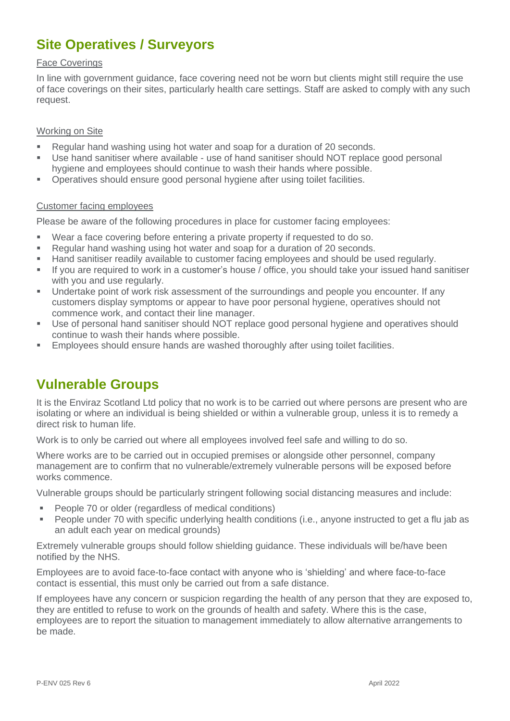# **Site Operatives / Surveyors**

#### Face Coverings

In line with government guidance, face covering need not be worn but clients might still require the use of face coverings on their sites, particularly health care settings. Staff are asked to comply with any such request.

#### Working on Site

- Regular hand washing using hot water and soap for a duration of 20 seconds.
- Use hand sanitiser where available use of hand sanitiser should NOT replace good personal hygiene and employees should continue to wash their hands where possible.
- Operatives should ensure good personal hygiene after using toilet facilities.

#### Customer facing employees

Please be aware of the following procedures in place for customer facing employees:

- Wear a face covering before entering a private property if requested to do so.
- Regular hand washing using hot water and soap for a duration of 20 seconds.
- Hand sanitiser readily available to customer facing employees and should be used regularly.
- If you are required to work in a customer's house / office, you should take your issued hand sanitiser with you and use regularly.
- **■** Undertake point of work risk assessment of the surroundings and people you encounter. If any customers display symptoms or appear to have poor personal hygiene, operatives should not commence work, and contact their line manager.
- Use of personal hand sanitiser should NOT replace good personal hygiene and operatives should continue to wash their hands where possible.
- **Employees should ensure hands are washed thoroughly after using toilet facilities.**

### **Vulnerable Groups**

It is the Enviraz Scotland Ltd policy that no work is to be carried out where persons are present who are isolating or where an individual is being shielded or within a vulnerable group, unless it is to remedy a direct risk to human life.

Work is to only be carried out where all employees involved feel safe and willing to do so.

Where works are to be carried out in occupied premises or alongside other personnel, company management are to confirm that no vulnerable/extremely vulnerable persons will be exposed before works commence.

Vulnerable groups should be particularly stringent following social distancing measures and include:

- People 70 or older (regardless of medical conditions)
- People under 70 with specific underlying health conditions (i.e., anyone instructed to get a flu iab as an adult each year on medical grounds)

Extremely vulnerable groups should follow shielding guidance. These individuals will be/have been notified by the NHS.

Employees are to avoid face-to-face contact with anyone who is 'shielding' and where face-to-face contact is essential, this must only be carried out from a safe distance.

If employees have any concern or suspicion regarding the health of any person that they are exposed to, they are entitled to refuse to work on the grounds of health and safety. Where this is the case, employees are to report the situation to management immediately to allow alternative arrangements to be made.